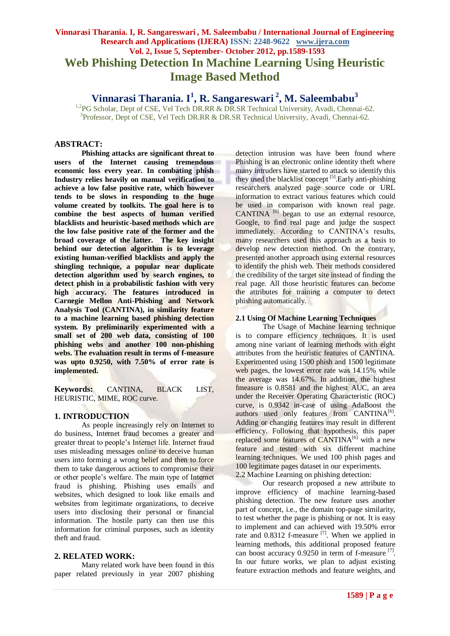# **Vinnarasi Tharania. I, R. Sangareswari , M. Saleembabu / International Journal of Engineering Research and Applications (IJERA) ISSN: 2248-9622 www.ijera.com Vol. 2, Issue 5, September- October 2012, pp.1589-1593 Web Phishing Detection In Machine Learning Using Heuristic Image Based Method**

**Vinnarasi Tharania. I<sup>1</sup> , R. Sangareswari <sup>2</sup> , M. Saleembabu<sup>3</sup>**

<sup>1,2</sup>PG Scholar, Dept of CSE, Vel Tech DR.RR & DR.SR Technical University, Avadi, Chennai-62. <sup>3</sup>Professor, Dept of CSE, Vel Tech DR.RR & DR.SR Technical University, Avadi, Chennai-62.

# **ABSTRACT:**

**Phishing attacks are significant threat to users of the Internet causing tremendous economic loss every year. In combating phish Industry relies heavily on manual verification to achieve a low false positive rate, which however tends to be slows in responding to the huge volume created by toolkits. The goal here is to combine the best aspects of human verified blacklists and heuristic-based methods which are the low false positive rate of the former and the broad coverage of the latter. The key insight behind our detection algorithm is to leverage existing human-verified blacklists and apply the shingling technique, a popular near duplicate detection algorithm used by search engines, to detect phish in a probabilistic fashion with very high accuracy. The features introduced in Carnegie Mellon Anti-Phishing and Network Analysis Tool (CANTINA), in similarity feature to a machine learning based phishing detection system. By preliminarily experimented with a small set of 200 web data, consisting of 100 phishing webs and another 100 non-phishing webs. The evaluation result in terms of f-measure was upto 0.9250, with 7.50% of error rate is implemented.**

**Keywords:** CANTINA, BLACK LIST, HEURISTIC, MIME, ROC curve.

# **1. INTRODUCTION**

As people increasingly rely on Internet to do business, Internet fraud becomes a greater and greater threat to people's Internet life. Internet fraud uses misleading messages online to deceive human users into forming a wrong belief and then to force them to take dangerous actions to compromise their or other people's welfare. The main type of Internet fraud is phishing. Phishing uses emails and websites, which designed to look like emails and websites from legitimate organizations, to deceive users into disclosing their personal or financial information. The hostile party can then use this information for criminal purposes, such as identity theft and fraud.

# **2. RELATED WORK:**

Many related work have been found in this paper related previously in year 2007 phishing detection intrusion was have been found where Phishing is an electronic online identity theft where many intruders have started to attack so identify this they used the blacklist concept [5].Early anti-phishing researchers analyzed page source code or URL information to extract various features which could be used in comparison with known real page. CANTINA  $^{[6]}$  began to use an external resource, Google, to find real page and judge the suspect immediately. According to CANTINA's results, many researchers used this approach as a basis to develop new detection method. On the contrary, presented another approach using external resources to identify the phish web. Their methods considered the credibility of the target site instead of finding the real page. All those heuristic features can become the attributes for training a computer to detect phishing automatically.

# **2.1 Using Of Machine Learning Techniques**

The Usage of Machine learning technique is to compare efficiency techniques. It is used among nine variant of learning methods with eight attributes from the heuristic features of CANTINA. Experimented using 1500 phish and 1500 legitimate web pages, the lowest error rate was 14.15% while the average was 14.67%. In addition, the highest fmeasure is 0.8581 and the highest AUC, an area under the Receiver Operating Characteristic (ROC) curve, is 0.9342 in-case of using AdaBoost the authors used only features from CANTINA<sup>[6]</sup>. Adding or changing features may result in different efficiency. Following that hypothesis, this paper replaced some features of CANTINA<sup>[6]</sup> with a new feature and tested with six different machine learning techniques. We used 100 phish pages and 100 legitimate pages dataset in our experiments. 2.2 Machine Learning on phishing detection:

Our research proposed a new attribute to improve efficiency of machine learning-based phishing detection. The new feature uses another part of concept, i.e., the domain top-page similarity, to test whether the page is phishing or not. It is easy to implement and can achieved with 19.50% error rate and 0.8312 f-measure [7]. When we applied in learning methods, this additional proposed feature can boost accuracy 0.9250 in term of f-measure [7]. In our future works, we plan to adjust existing feature extraction methods and feature weights, and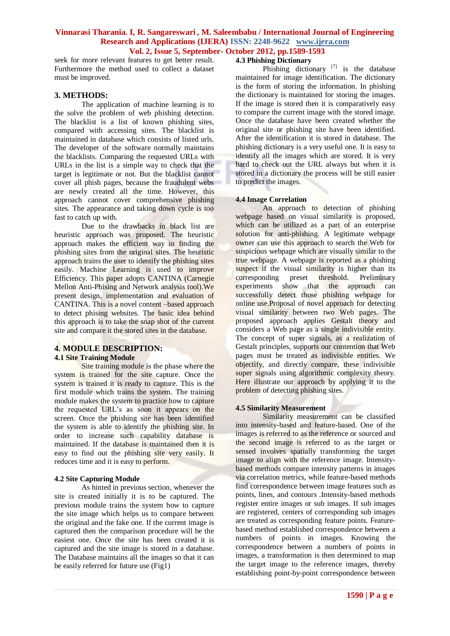seek for more relevant features to get better result. Furthermore the method used to collect a dataset must be improved.

# **3. METHODS:**

The application of machine learning is to the solve the problem of web phishing detection. The blacklist is a list of known phishing sites, compared with accessing sites. The blacklist is maintained in database which consists of listed urls. The developer of the software normally maintains the blacklists. Comparing the requested URLs with URLs in the list is a simple way to check that the target is legitimate or not. But the blacklist cannot cover all phish pages, because the fraudulent webs are newly created all the time. However, this approach cannot cover comprehensive phishing sites. The appearance and taking down cycle is too fast to catch up with.

Due to the drawbacks in black list are heuristic approach was proposed. The heuristic approach makes the efficient way in finding the phishing sites from the original sites. The heuristic approach trains the user to identify the phishing sites easily. Machine Learning is used to improve Efficiency. This paper adopts CANTINA (Carnegie Mellon Anti-Phising and Network analysis tool).We present design, implementation and evaluation of CANTINA. This is a novel content –based approach to detect phising websites. The basic idea behind this approach is to take the snap shot of the current site and compare it the stored sites in the database.

### **4. MODULE DESCRIPTION: 4.1 Site Training Module**

Site training module is the phase where the system is trained for the site capture. Once the system is trained it is ready to capture. This is the first module which trains the system. The training module makes the system to practice how to capture the requested URL's as soon it appears on the screen. Once the phishing site has been identified the system is able to identify the phishing site. In order to increase such capability database is maintained. If the database is maintained then it is easy to find out the phishing site very easily. It reduces time and it is easy to perform.

### **4.2 Site Capturing Module**

As hinted in previous section, whenever the site is created initially it is to be captured. The previous module trains the system how to capture the site image which helps us to compare between the original and the fake one. If the current image is captured then the comparison procedure will be the easiest one. Once the site has been created it is captured and the site image is stored in a database. The Database maintains all the images so that it can be easily referred for future use (Fig1)

# **4.3 Phishing Dictionary**

Phishing dictionary  $^{[7]}$  is the database maintained for image identification. The dictionary is the form of storing the information. In phishing the dictionary is maintained for storing the images. If the image is stored then it is comparatively easy to compare the current image with the stored image. Once the database have been created whether the original site or phishing site have been identified. After the identification it is stored in database. The phishing dictionary is a very useful one. It is easy to identify all the images which are stored. It is very hard to check out the URL always but when it is stored in a dictionary the process will be still easier to predict the images.

#### **4.4 Image Correlation**

An approach to detection of phishing webpage based on visual similarity is proposed, which can be utilized as a part of an enterprise solution for anti-phishing. A legitimate webpage owner can use this approach to search the Web for suspicious webpage which are visually similar to the true webpage. A webpage is reported as a phishing suspect if the visual similarity is higher than its corresponding preset threshold. Preliminary experiments show that the approach can successfully detect those phishing webpage for online use.Proposal of novel approach for detecting visual similarity between two Web pages. The proposed approach applies Gestalt theory and considers a Web page as a single indivisible entity. The concept of super signals, as a realization of Gestalt principles, supports our contention that Web pages must be treated as indivisible entities. We objectify, and directly compare, these indivisible super signals using algorithmic complexity theory. Here illustrate our approach by applying it to the problem of detecting phishing sites.

### **4.5 Similarity Measurement**

Similarity measurement can be classified into intensity-based and feature-based. One of the images is referred to as the reference or sourced and the second image is referred to as the target or sensed involves spatially transforming the target image to align with the reference image. Intensitybased methods compare intensity patterns in images via correlation metrics, while feature-based methods find correspondence between image features such as points, lines, and contours .Intensity-based methods register entire images or sub images. If sub images are registered, centers of corresponding sub images are treated as corresponding feature points. Featurebased method established correspondence between a numbers of points in images. Knowing the correspondence between a numbers of points in images, a transformation is then determined to map the target image to the reference images, thereby establishing point-by-point correspondence between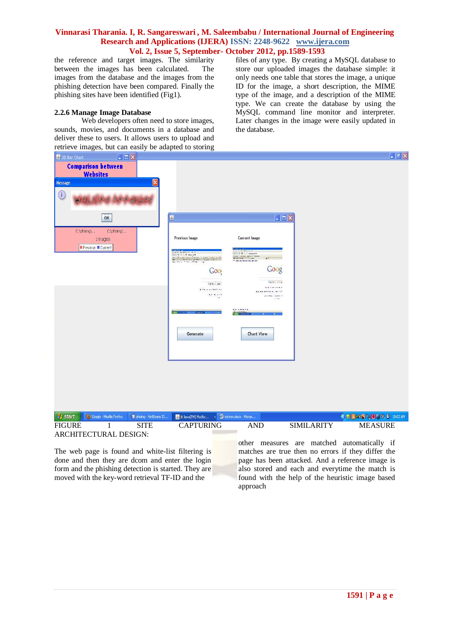the reference and target images. The similarity between the images has been calculated. The images from the database and the images from the phishing detection have been compared. Finally the phishing sites have been identified (Fig1).

# **2.2.6 Manage Image Database**

Web developers often need to store images. sounds, movies, and documents in a database and deliver these to users. It allows users to upload and files of any type. By creating a MySQL database to store our uploaded images the database simple: it only needs one table that stores the image, a unique ID for the image, a short description, the MIME type of the image, and a description of the MIME type. We can create the database by using the MySQL command line monitor and interpreter. Later changes in the image were easily updated in the database.

| retrieve images, but can easily be adapted to storing               |                                                                                                                                                                                                           |                                                                                                |                   |                                                                                         |
|---------------------------------------------------------------------|-----------------------------------------------------------------------------------------------------------------------------------------------------------------------------------------------------------|------------------------------------------------------------------------------------------------|-------------------|-----------------------------------------------------------------------------------------|
| $\Box$ $\Box$<br>3D Bar Chart                                       |                                                                                                                                                                                                           |                                                                                                |                   | $\begin{array}{ c c }\hline \textbf{.} & \textbf{0} & \textbf{X} \\ \hline \end{array}$ |
| <b>Comparison between</b>                                           |                                                                                                                                                                                                           |                                                                                                |                   |                                                                                         |
| <b>Websites</b>                                                     |                                                                                                                                                                                                           |                                                                                                |                   |                                                                                         |
| Message                                                             |                                                                                                                                                                                                           |                                                                                                |                   |                                                                                         |
| $\bigcirc$                                                          |                                                                                                                                                                                                           |                                                                                                |                   |                                                                                         |
| OK                                                                  | $\mathbf{L}$                                                                                                                                                                                              | $\Box$                                                                                         |                   |                                                                                         |
| C:\phising\<br>C:\phising\                                          |                                                                                                                                                                                                           |                                                                                                |                   |                                                                                         |
| Images                                                              | <b>Previous Image</b>                                                                                                                                                                                     | <b>Current Image</b>                                                                           |                   |                                                                                         |
| Previous Current                                                    |                                                                                                                                                                                                           |                                                                                                |                   |                                                                                         |
|                                                                     | i protestanti<br>Militar Santa Marcurat<br>Militar Santa Marcurat<br>de la Barachia dels Castas Comerciones e la Baldia<br>del Comercio de la Baldia de la Comercia<br>del comercio de la Baldia de Santo | <b>CXCT-Roomer</b><br>Ham Sanat Larang Sanat<br>desk kin<br>the theoretical state and the con- |                   |                                                                                         |
|                                                                     | Go <sub>0</sub>                                                                                                                                                                                           | Goog                                                                                           |                   |                                                                                         |
|                                                                     |                                                                                                                                                                                                           |                                                                                                |                   |                                                                                         |
|                                                                     | Toyotay in adding<br>19 Fly is an India ex                                                                                                                                                                | Ang Net 1977 by<br><b>Burnett</b>                                                              |                   |                                                                                         |
|                                                                     | Nov. No. 4, 26                                                                                                                                                                                            | Victory Collect 1<br><b>SIL PS</b>                                                             |                   |                                                                                         |
|                                                                     |                                                                                                                                                                                                           | <b>Barnette La</b>                                                                             |                   |                                                                                         |
|                                                                     | <b>The County</b>                                                                                                                                                                                         |                                                                                                |                   |                                                                                         |
|                                                                     |                                                                                                                                                                                                           |                                                                                                |                   |                                                                                         |
|                                                                     | Generate                                                                                                                                                                                                  | <b>Chart View</b>                                                                              |                   |                                                                                         |
|                                                                     |                                                                                                                                                                                                           |                                                                                                |                   |                                                                                         |
|                                                                     |                                                                                                                                                                                                           |                                                                                                |                   |                                                                                         |
|                                                                     |                                                                                                                                                                                                           |                                                                                                |                   |                                                                                         |
|                                                                     |                                                                                                                                                                                                           |                                                                                                |                   |                                                                                         |
|                                                                     |                                                                                                                                                                                                           |                                                                                                |                   |                                                                                         |
|                                                                     |                                                                                                                                                                                                           |                                                                                                |                   |                                                                                         |
|                                                                     |                                                                                                                                                                                                           |                                                                                                |                   |                                                                                         |
| <b>Start</b><br>Coogle - Mozilla Firefox<br>P phising - NetBeans ID | 8 Java(TM) Platfor<br>ᆌ                                                                                                                                                                                   | screen.docx - Micros                                                                           |                   | <b>KDB血管系图 2.8 10:02 AM</b>                                                             |
| <b>FIGURE</b><br><b>SITE</b><br>1                                   | <b>CAPTURING</b>                                                                                                                                                                                          | <b>AND</b>                                                                                     | <b>SIMILARITY</b> | <b>MEASURE</b>                                                                          |
| ARCHITECTURAL DESIGN:                                               |                                                                                                                                                                                                           |                                                                                                |                   |                                                                                         |
|                                                                     |                                                                                                                                                                                                           |                                                                                                |                   | other measures are matched automatically if                                             |
| The web page is found and white-list filtering is                   |                                                                                                                                                                                                           |                                                                                                |                   | matches are true then no errors if they differ the                                      |

The web page is found and white-list filtering is done and then they are dcom and enter the login form and the phishing detection is started. They are moved with the key-word retrieval TF-ID and the

es are true then no errors if they differ the page has been attacked. And a reference image is also stored and each and everytime the match is found with the help of the heuristic image based approach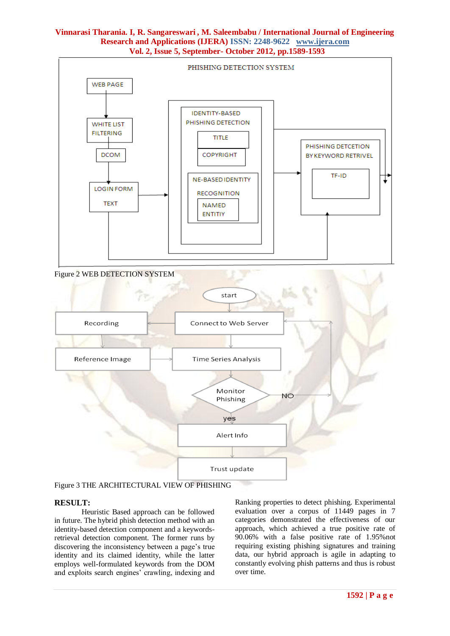

Figure 3 THE ARCHITECTURAL VIEW OF PHISHING

# **RESULT:**

Heuristic Based approach can be followed in future. The hybrid phish detection method with an identity-based detection component and a keywordsretrieval detection component. The former runs by discovering the inconsistency between a page's true identity and its claimed identity, while the latter employs well-formulated keywords from the DOM and exploits search engines' crawling, indexing and

Ranking properties to detect phishing. Experimental evaluation over a corpus of 11449 pages in 7 categories demonstrated the effectiveness of our approach, which achieved a true positive rate of 90.06% with a false positive rate of 1.95%not requiring existing phishing signatures and training data, our hybrid approach is agile in adapting to constantly evolving phish patterns and thus is robust over time.